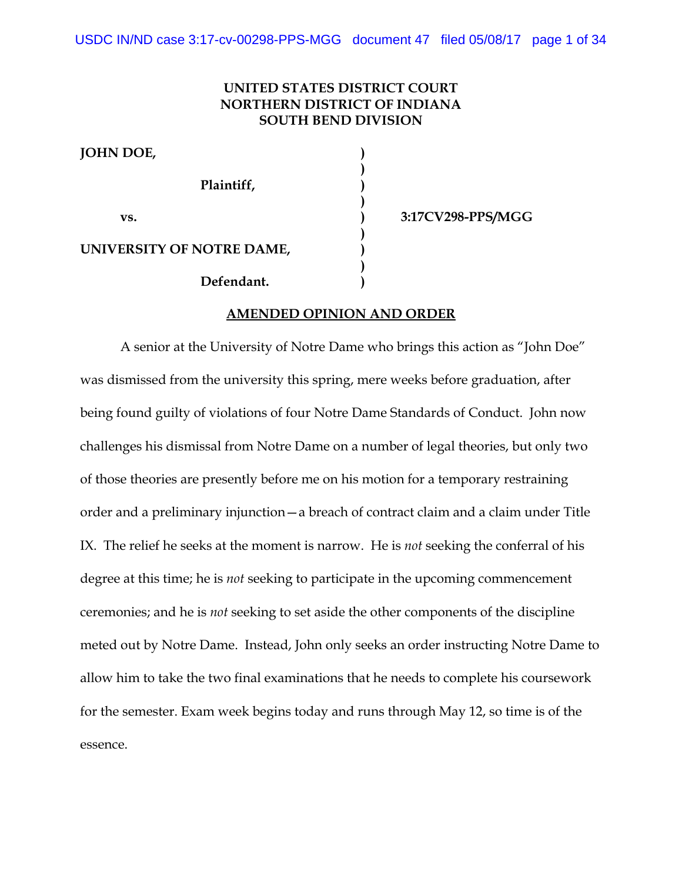# **UNITED STATES DISTRICT COURT NORTHERN DISTRICT OF INDIANA SOUTH BEND DIVISION**

**)**

**)**

**)**

**)**

**JOHN DOE, ) Plaintiff, ) vs. ) 3:17CV298-PPS/MGG UNIVERSITY OF NOTRE DAME, ) Defendant. )**

#### **AMENDED OPINION AND ORDER**

A senior at the University of Notre Dame who brings this action as "John Doe" was dismissed from the university this spring, mere weeks before graduation, after being found guilty of violations of four Notre Dame Standards of Conduct. John now challenges his dismissal from Notre Dame on a number of legal theories, but only two of those theories are presently before me on his motion for a temporary restraining order and a preliminary injunction—a breach of contract claim and a claim under Title IX. The relief he seeks at the moment is narrow. He is *not* seeking the conferral of his degree at this time; he is *not* seeking to participate in the upcoming commencement ceremonies; and he is *not* seeking to set aside the other components of the discipline meted out by Notre Dame. Instead, John only seeks an order instructing Notre Dame to allow him to take the two final examinations that he needs to complete his coursework for the semester. Exam week begins today and runs through May 12, so time is of the essence.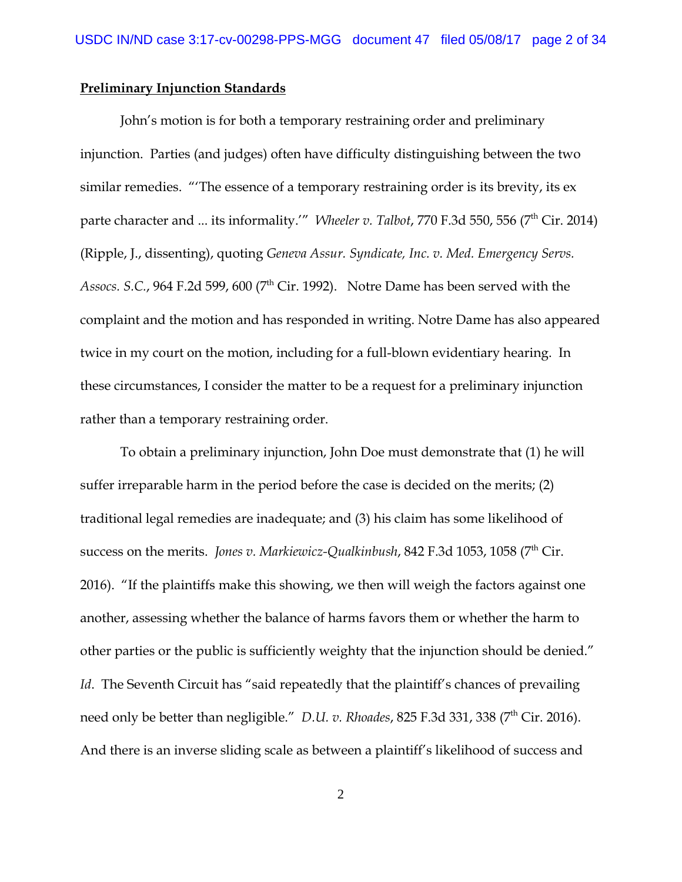## **Preliminary Injunction Standards**

John's motion is for both a temporary restraining order and preliminary injunction. Parties (and judges) often have difficulty distinguishing between the two similar remedies. "'The essence of a temporary restraining order is its brevity, its ex parte character and ... its informality.'" *Wheeler v. Talbot, 770 F.3d 550, 556 (7<sup>th</sup> Cir. 2014)* (Ripple, J., dissenting), quoting *Geneva Assur. Syndicate, Inc. v. Med. Emergency Servs. Assocs. S.C.*, 964 F.2d 599, 600 ( $7<sup>th</sup>$  Cir. 1992). Notre Dame has been served with the complaint and the motion and has responded in writing. Notre Dame has also appeared twice in my court on the motion, including for a full-blown evidentiary hearing. In these circumstances, I consider the matter to be a request for a preliminary injunction rather than a temporary restraining order.

To obtain a preliminary injunction, John Doe must demonstrate that (1) he will suffer irreparable harm in the period before the case is decided on the merits; (2) traditional legal remedies are inadequate; and (3) his claim has some likelihood of success on the merits. *Jones v. Markiewicz-Qualkinbush*, 842 F.3d 1053, 1058 (7<sup>th</sup> Cir. 2016). "If the plaintiffs make this showing, we then will weigh the factors against one another, assessing whether the balance of harms favors them or whether the harm to other parties or the public is sufficiently weighty that the injunction should be denied." *Id.* The Seventh Circuit has "said repeatedly that the plaintiff's chances of prevailing need only be better than negligible." *D.U. v. Rhoades*, 825 F.3d 331, 338 (7<sup>th</sup> Cir. 2016). And there is an inverse sliding scale as between a plaintiff's likelihood of success and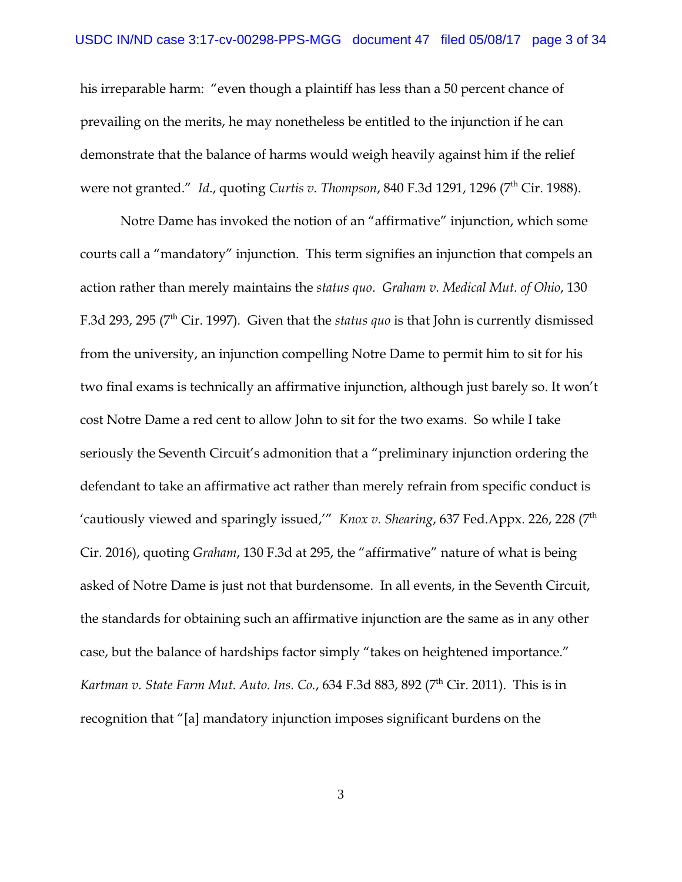his irreparable harm: "even though a plaintiff has less than a 50 percent chance of prevailing on the merits, he may nonetheless be entitled to the injunction if he can demonstrate that the balance of harms would weigh heavily against him if the relief were not granted." *Id.*, quoting *Curtis v. Thompson*, 840 F.3d 1291, 1296 (7<sup>th</sup> Cir. 1988).

Notre Dame has invoked the notion of an "affirmative" injunction, which some courts call a "mandatory" injunction. This term signifies an injunction that compels an action rather than merely maintains the *status quo*. *Graham v. Medical Mut. of Ohio*, 130 F.3d 293, 295 (7th Cir. 1997)*.* Given that the *status quo* is that John is currently dismissed from the university, an injunction compelling Notre Dame to permit him to sit for his two final exams is technically an affirmative injunction, although just barely so. It won't cost Notre Dame a red cent to allow John to sit for the two exams. So while I take seriously the Seventh Circuit's admonition that a "preliminary injunction ordering the defendant to take an affirmative act rather than merely refrain from specific conduct is 'cautiously viewed and sparingly issued,'" *Knox v. Shearing*, 637 Fed.Appx. 226, 228 (7<sup>th</sup>) Cir. 2016), quoting *Graham*, 130 F.3d at 295, the "affirmative" nature of what is being asked of Notre Dame is just not that burdensome. In all events, in the Seventh Circuit, the standards for obtaining such an affirmative injunction are the same as in any other case, but the balance of hardships factor simply "takes on heightened importance." *Kartman v. State Farm Mut. Auto. Ins. Co., 634 F.3d 883, 892 (7<sup>th</sup> Cir. 2011). This is in* recognition that "[a] mandatory injunction imposes significant burdens on the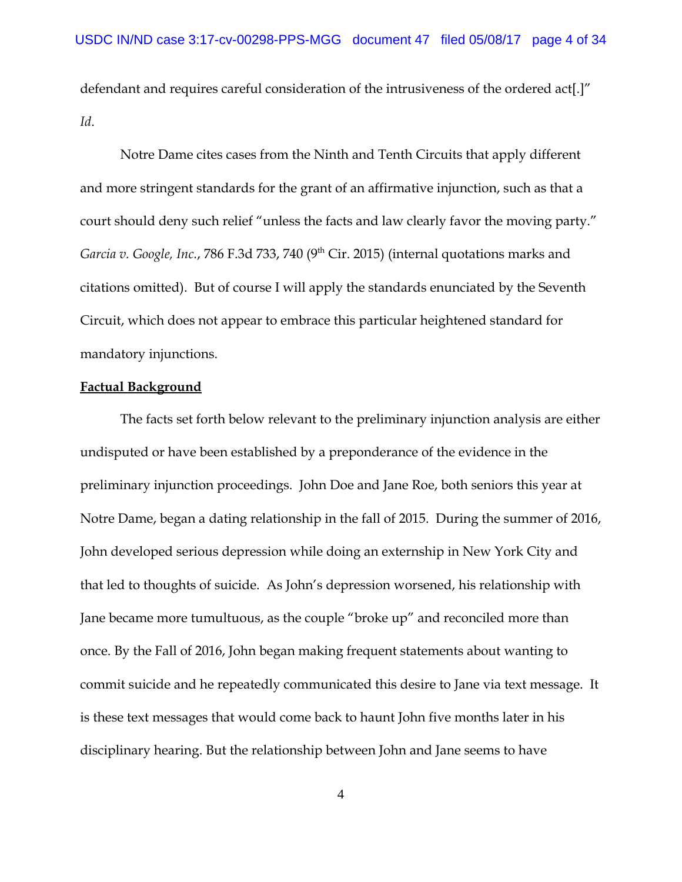defendant and requires careful consideration of the intrusiveness of the ordered act[.]" *Id*.

Notre Dame cites cases from the Ninth and Tenth Circuits that apply different and more stringent standards for the grant of an affirmative injunction, such as that a court should deny such relief "unless the facts and law clearly favor the moving party." *Garcia v. Google, Inc., 786 F.3d 733, 740* (9<sup>th</sup> Cir. 2015) (internal quotations marks and citations omitted). But of course I will apply the standards enunciated by the Seventh Circuit, which does not appear to embrace this particular heightened standard for mandatory injunctions.

# **Factual Background**

The facts set forth below relevant to the preliminary injunction analysis are either undisputed or have been established by a preponderance of the evidence in the preliminary injunction proceedings. John Doe and Jane Roe, both seniors this year at Notre Dame, began a dating relationship in the fall of 2015. During the summer of 2016, John developed serious depression while doing an externship in New York City and that led to thoughts of suicide. As John's depression worsened, his relationship with Jane became more tumultuous, as the couple "broke up" and reconciled more than once. By the Fall of 2016, John began making frequent statements about wanting to commit suicide and he repeatedly communicated this desire to Jane via text message. It is these text messages that would come back to haunt John five months later in his disciplinary hearing. But the relationship between John and Jane seems to have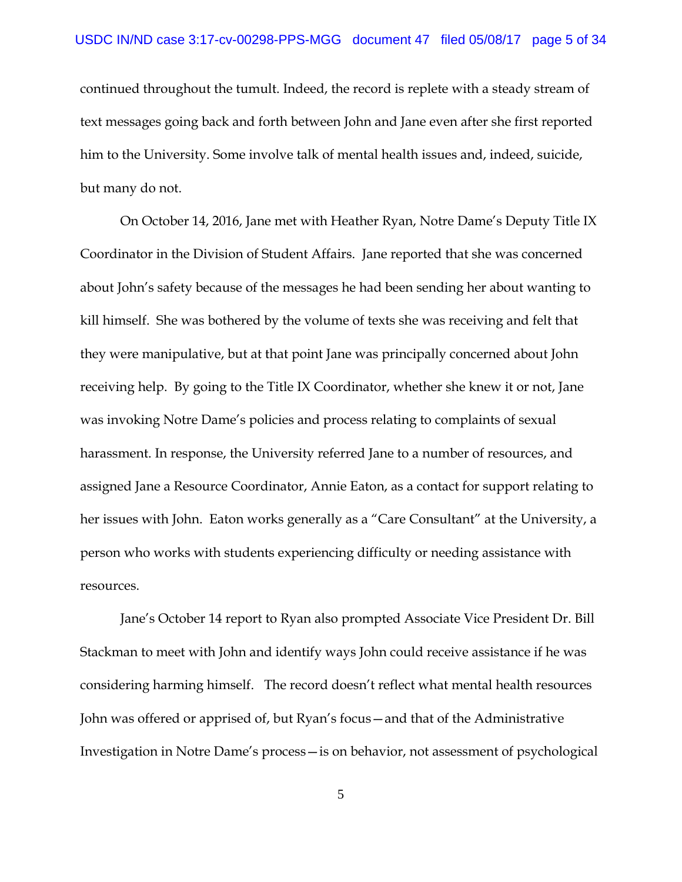continued throughout the tumult. Indeed, the record is replete with a steady stream of text messages going back and forth between John and Jane even after she first reported him to the University. Some involve talk of mental health issues and, indeed, suicide, but many do not.

On October 14, 2016, Jane met with Heather Ryan, Notre Dame's Deputy Title IX Coordinator in the Division of Student Affairs. Jane reported that she was concerned about John's safety because of the messages he had been sending her about wanting to kill himself. She was bothered by the volume of texts she was receiving and felt that they were manipulative, but at that point Jane was principally concerned about John receiving help. By going to the Title IX Coordinator, whether she knew it or not, Jane was invoking Notre Dame's policies and process relating to complaints of sexual harassment. In response, the University referred Jane to a number of resources, and assigned Jane a Resource Coordinator, Annie Eaton, as a contact for support relating to her issues with John. Eaton works generally as a "Care Consultant" at the University, a person who works with students experiencing difficulty or needing assistance with resources.

Jane's October 14 report to Ryan also prompted Associate Vice President Dr. Bill Stackman to meet with John and identify ways John could receive assistance if he was considering harming himself. The record doesn't reflect what mental health resources John was offered or apprised of, but Ryan's focus—and that of the Administrative Investigation in Notre Dame's process—is on behavior, not assessment of psychological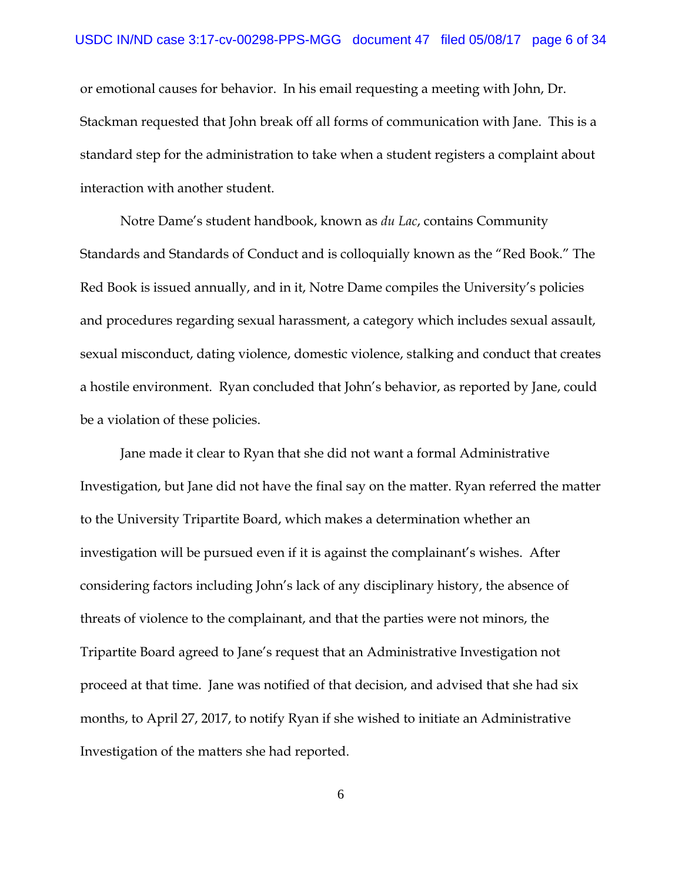or emotional causes for behavior. In his email requesting a meeting with John, Dr. Stackman requested that John break off all forms of communication with Jane. This is a standard step for the administration to take when a student registers a complaint about interaction with another student.

Notre Dame's student handbook, known as *du Lac*, contains Community Standards and Standards of Conduct and is colloquially known as the "Red Book." The Red Book is issued annually, and in it, Notre Dame compiles the University's policies and procedures regarding sexual harassment, a category which includes sexual assault, sexual misconduct, dating violence, domestic violence, stalking and conduct that creates a hostile environment. Ryan concluded that John's behavior, as reported by Jane, could be a violation of these policies.

Jane made it clear to Ryan that she did not want a formal Administrative Investigation, but Jane did not have the final say on the matter. Ryan referred the matter to the University Tripartite Board, which makes a determination whether an investigation will be pursued even if it is against the complainant's wishes. After considering factors including John's lack of any disciplinary history, the absence of threats of violence to the complainant, and that the parties were not minors, the Tripartite Board agreed to Jane's request that an Administrative Investigation not proceed at that time. Jane was notified of that decision, and advised that she had six months, to April 27, 2017, to notify Ryan if she wished to initiate an Administrative Investigation of the matters she had reported.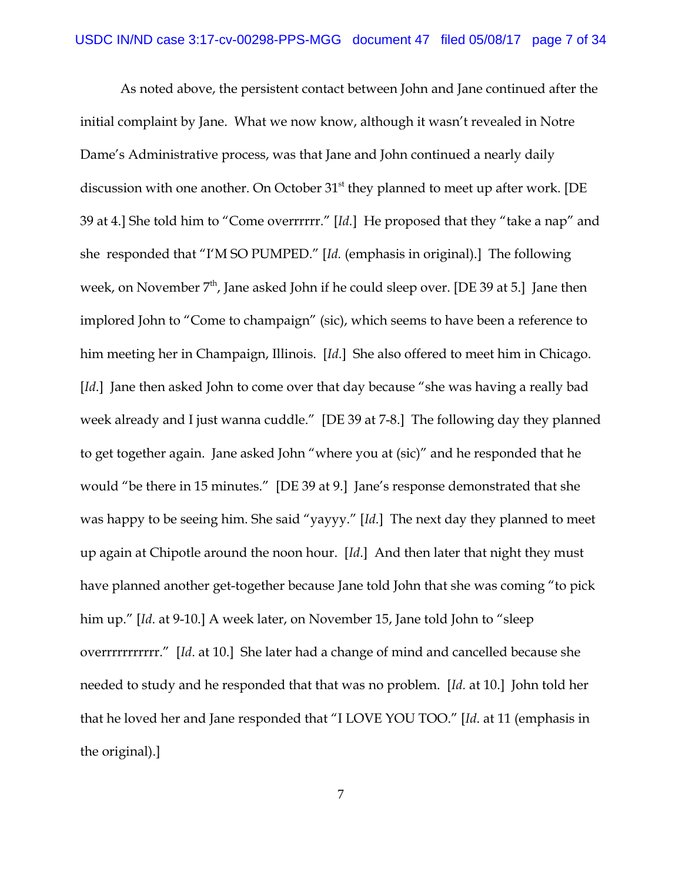As noted above, the persistent contact between John and Jane continued after the initial complaint by Jane. What we now know, although it wasn't revealed in Notre Dame's Administrative process, was that Jane and John continued a nearly daily discussion with one another. On October  $31<sup>st</sup>$  they planned to meet up after work. [DE 39 at 4.] She told him to "Come overrrrrr." [*Id.*] He proposed that they "take a nap" and she responded that "I'M SO PUMPED." [*Id.* (emphasis in original).] The following week, on November  $7<sup>th</sup>$ , Jane asked John if he could sleep over. [DE 39 at 5.] Jane then implored John to "Come to champaign" (sic), which seems to have been a reference to him meeting her in Champaign, Illinois. [*Id*.] She also offered to meet him in Chicago. [*Id*.] Jane then asked John to come over that day because "she was having a really bad week already and I just wanna cuddle." [DE 39 at 7-8.] The following day they planned to get together again. Jane asked John "where you at (sic)" and he responded that he would "be there in 15 minutes." [DE 39 at 9.] Jane's response demonstrated that she was happy to be seeing him. She said "yayyy." [*Id*.] The next day they planned to meet up again at Chipotle around the noon hour. [*Id*.] And then later that night they must have planned another get-together because Jane told John that she was coming "to pick him up." [*Id*. at 9-10.] A week later, on November 15, Jane told John to "sleep overrrrrrrrrrr." [*Id*. at 10.] She later had a change of mind and cancelled because she needed to study and he responded that that was no problem. [*Id.* at 10.] John told her that he loved her and Jane responded that "I LOVE YOU TOO." [*Id*. at 11 (emphasis in the original).]

7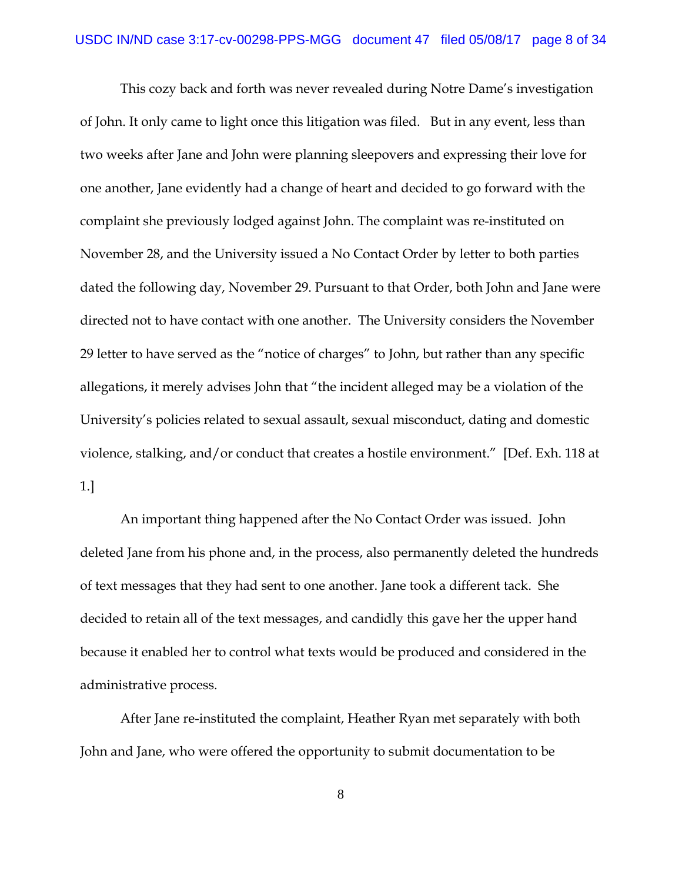This cozy back and forth was never revealed during Notre Dame's investigation of John. It only came to light once this litigation was filed. But in any event, less than two weeks after Jane and John were planning sleepovers and expressing their love for one another, Jane evidently had a change of heart and decided to go forward with the complaint she previously lodged against John. The complaint was re-instituted on November 28, and the University issued a No Contact Order by letter to both parties dated the following day, November 29. Pursuant to that Order, both John and Jane were directed not to have contact with one another. The University considers the November 29 letter to have served as the "notice of charges" to John, but rather than any specific allegations, it merely advises John that "the incident alleged may be a violation of the University's policies related to sexual assault, sexual misconduct, dating and domestic violence, stalking, and/or conduct that creates a hostile environment." [Def. Exh. 118 at 1.]

An important thing happened after the No Contact Order was issued. John deleted Jane from his phone and, in the process, also permanently deleted the hundreds of text messages that they had sent to one another. Jane took a different tack. She decided to retain all of the text messages, and candidly this gave her the upper hand because it enabled her to control what texts would be produced and considered in the administrative process.

After Jane re-instituted the complaint, Heather Ryan met separately with both John and Jane, who were offered the opportunity to submit documentation to be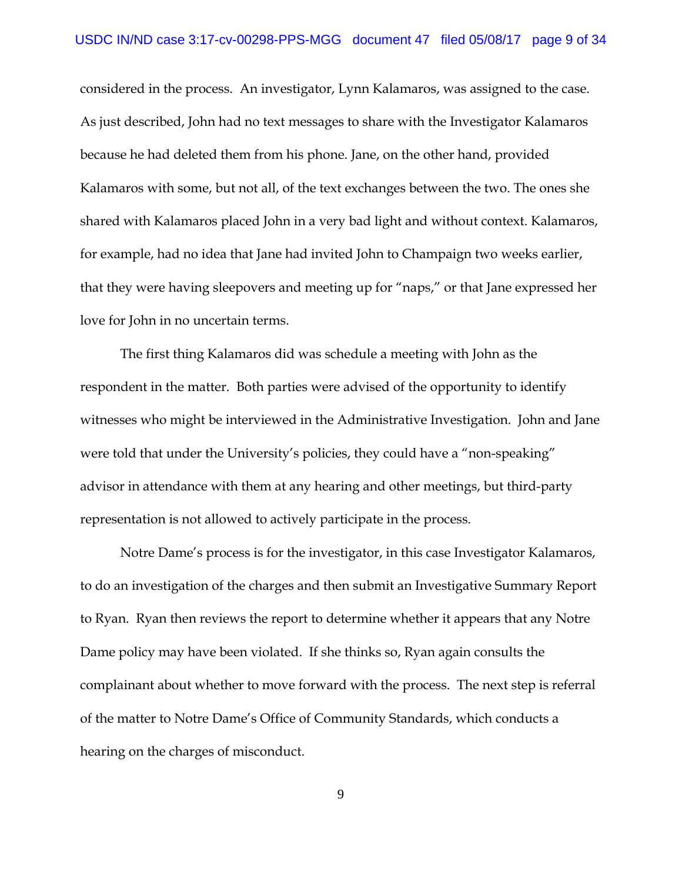considered in the process. An investigator, Lynn Kalamaros, was assigned to the case. As just described, John had no text messages to share with the Investigator Kalamaros because he had deleted them from his phone. Jane, on the other hand, provided Kalamaros with some, but not all, of the text exchanges between the two. The ones she shared with Kalamaros placed John in a very bad light and without context. Kalamaros, for example, had no idea that Jane had invited John to Champaign two weeks earlier, that they were having sleepovers and meeting up for "naps," or that Jane expressed her love for John in no uncertain terms.

The first thing Kalamaros did was schedule a meeting with John as the respondent in the matter. Both parties were advised of the opportunity to identify witnesses who might be interviewed in the Administrative Investigation. John and Jane were told that under the University's policies, they could have a "non-speaking" advisor in attendance with them at any hearing and other meetings, but third-party representation is not allowed to actively participate in the process.

Notre Dame's process is for the investigator, in this case Investigator Kalamaros, to do an investigation of the charges and then submit an Investigative Summary Report to Ryan. Ryan then reviews the report to determine whether it appears that any Notre Dame policy may have been violated. If she thinks so, Ryan again consults the complainant about whether to move forward with the process. The next step is referral of the matter to Notre Dame's Office of Community Standards, which conducts a hearing on the charges of misconduct.

9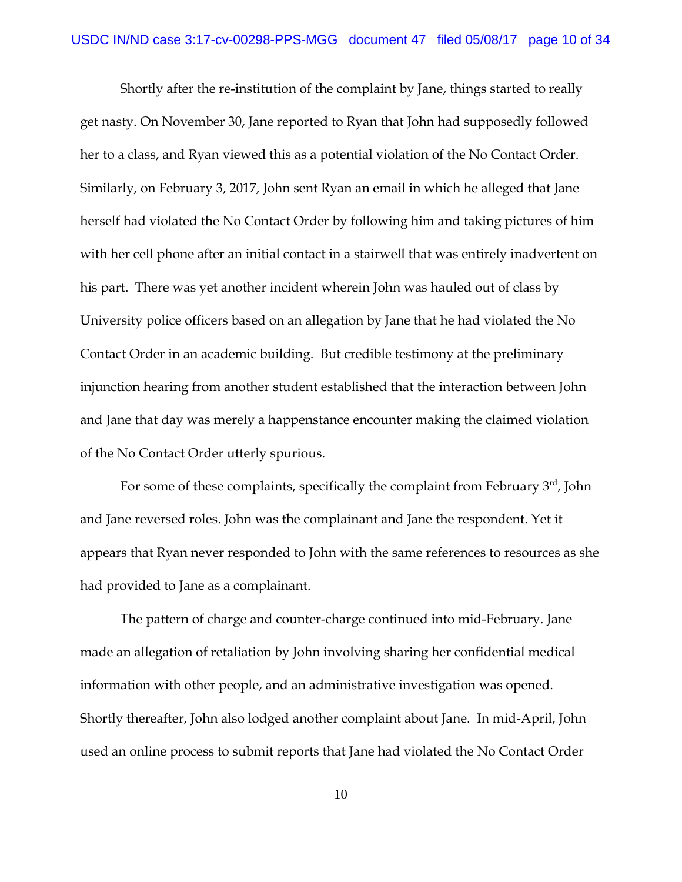Shortly after the re-institution of the complaint by Jane, things started to really get nasty. On November 30, Jane reported to Ryan that John had supposedly followed her to a class, and Ryan viewed this as a potential violation of the No Contact Order. Similarly, on February 3, 2017, John sent Ryan an email in which he alleged that Jane herself had violated the No Contact Order by following him and taking pictures of him with her cell phone after an initial contact in a stairwell that was entirely inadvertent on his part. There was yet another incident wherein John was hauled out of class by University police officers based on an allegation by Jane that he had violated the No Contact Order in an academic building. But credible testimony at the preliminary injunction hearing from another student established that the interaction between John and Jane that day was merely a happenstance encounter making the claimed violation of the No Contact Order utterly spurious.

For some of these complaints, specifically the complaint from February  $3<sup>rd</sup>$ , John and Jane reversed roles. John was the complainant and Jane the respondent. Yet it appears that Ryan never responded to John with the same references to resources as she had provided to Jane as a complainant.

The pattern of charge and counter-charge continued into mid-February. Jane made an allegation of retaliation by John involving sharing her confidential medical information with other people, and an administrative investigation was opened. Shortly thereafter, John also lodged another complaint about Jane. In mid-April, John used an online process to submit reports that Jane had violated the No Contact Order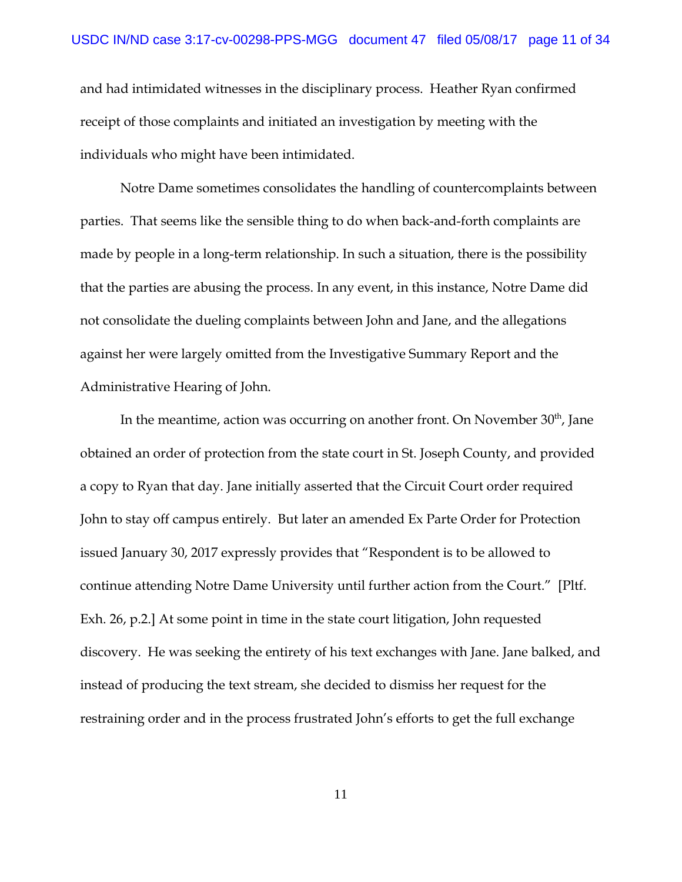and had intimidated witnesses in the disciplinary process. Heather Ryan confirmed receipt of those complaints and initiated an investigation by meeting with the individuals who might have been intimidated.

Notre Dame sometimes consolidates the handling of countercomplaints between parties. That seems like the sensible thing to do when back-and-forth complaints are made by people in a long-term relationship. In such a situation, there is the possibility that the parties are abusing the process. In any event, in this instance, Notre Dame did not consolidate the dueling complaints between John and Jane, and the allegations against her were largely omitted from the Investigative Summary Report and the Administrative Hearing of John.

In the meantime, action was occurring on another front. On November  $30<sup>th</sup>$ , Jane obtained an order of protection from the state court in St. Joseph County, and provided a copy to Ryan that day. Jane initially asserted that the Circuit Court order required John to stay off campus entirely. But later an amended Ex Parte Order for Protection issued January 30, 2017 expressly provides that "Respondent is to be allowed to continue attending Notre Dame University until further action from the Court." [Pltf. Exh. 26, p.2.] At some point in time in the state court litigation, John requested discovery. He was seeking the entirety of his text exchanges with Jane. Jane balked, and instead of producing the text stream, she decided to dismiss her request for the restraining order and in the process frustrated John's efforts to get the full exchange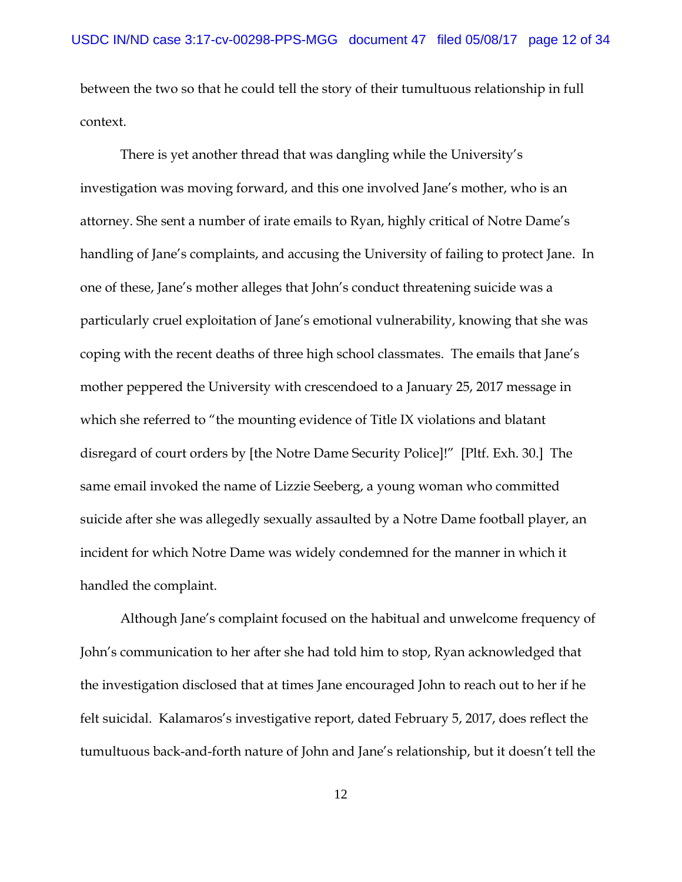between the two so that he could tell the story of their tumultuous relationship in full context.

There is yet another thread that was dangling while the University's investigation was moving forward, and this one involved Jane's mother, who is an attorney. She sent a number of irate emails to Ryan, highly critical of Notre Dame's handling of Jane's complaints, and accusing the University of failing to protect Jane. In one of these, Jane's mother alleges that John's conduct threatening suicide was a particularly cruel exploitation of Jane's emotional vulnerability, knowing that she was coping with the recent deaths of three high school classmates. The emails that Jane's mother peppered the University with crescendoed to a January 25, 2017 message in which she referred to "the mounting evidence of Title IX violations and blatant disregard of court orders by [the Notre Dame Security Police]!" [Pltf. Exh. 30.] The same email invoked the name of Lizzie Seeberg, a young woman who committed suicide after she was allegedly sexually assaulted by a Notre Dame football player, an incident for which Notre Dame was widely condemned for the manner in which it handled the complaint.

Although Jane's complaint focused on the habitual and unwelcome frequency of John's communication to her after she had told him to stop, Ryan acknowledged that the investigation disclosed that at times Jane encouraged John to reach out to her if he felt suicidal. Kalamaros's investigative report, dated February 5, 2017, does reflect the tumultuous back-and-forth nature of John and Jane's relationship, but it doesn't tell the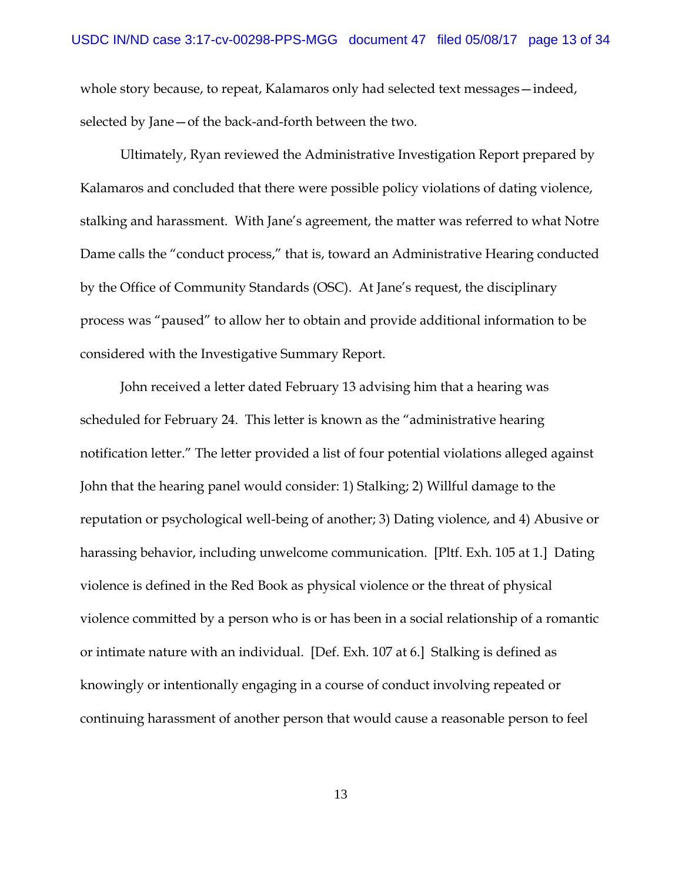whole story because, to repeat, Kalamaros only had selected text messages – indeed, selected by Jane—of the back-and-forth between the two.

Ultimately, Ryan reviewed the Administrative Investigation Report prepared by Kalamaros and concluded that there were possible policy violations of dating violence, stalking and harassment. With Jane's agreement, the matter was referred to what Notre Dame calls the "conduct process," that is, toward an Administrative Hearing conducted by the Office of Community Standards (OSC). At Jane's request, the disciplinary process was "paused" to allow her to obtain and provide additional information to be considered with the Investigative Summary Report.

John received a letter dated February 13 advising him that a hearing was scheduled for February 24. This letter is known as the "administrative hearing notification letter." The letter provided a list of four potential violations alleged against John that the hearing panel would consider: 1) Stalking; 2) Willful damage to the reputation or psychological well-being of another; 3) Dating violence, and 4) Abusive or harassing behavior, including unwelcome communication. [Pltf. Exh. 105 at 1.] Dating violence is defined in the Red Book as physical violence or the threat of physical violence committed by a person who is or has been in a social relationship of a romantic or intimate nature with an individual. [Def. Exh. 107 at 6.] Stalking is defined as knowingly or intentionally engaging in a course of conduct involving repeated or continuing harassment of another person that would cause a reasonable person to feel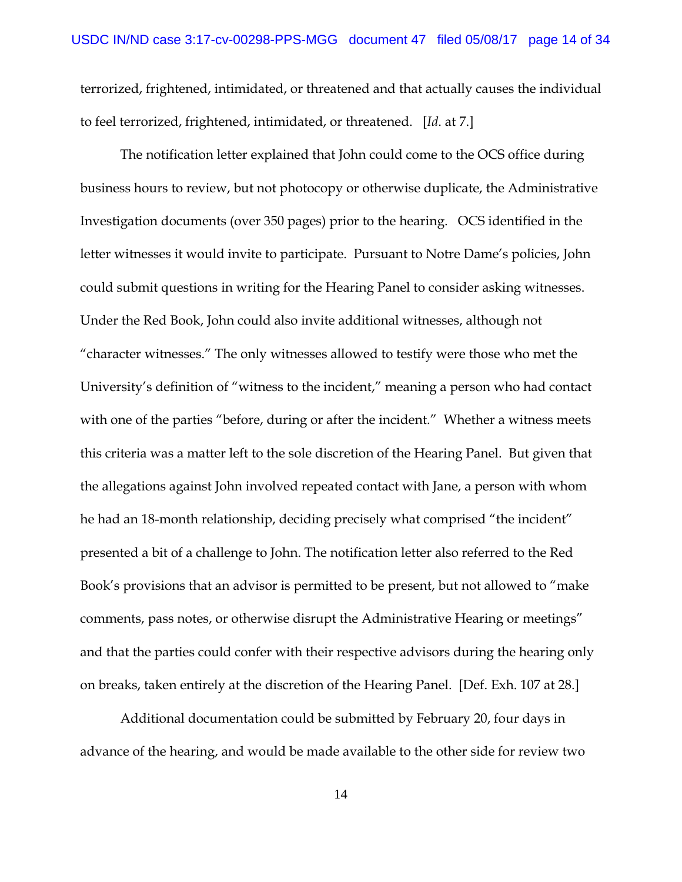terrorized, frightened, intimidated, or threatened and that actually causes the individual to feel terrorized, frightened, intimidated, or threatened. [*Id*. at 7.]

The notification letter explained that John could come to the OCS office during business hours to review, but not photocopy or otherwise duplicate, the Administrative Investigation documents (over 350 pages) prior to the hearing. OCS identified in the letter witnesses it would invite to participate. Pursuant to Notre Dame's policies, John could submit questions in writing for the Hearing Panel to consider asking witnesses. Under the Red Book, John could also invite additional witnesses, although not "character witnesses." The only witnesses allowed to testify were those who met the University's definition of "witness to the incident," meaning a person who had contact with one of the parties "before, during or after the incident." Whether a witness meets this criteria was a matter left to the sole discretion of the Hearing Panel. But given that the allegations against John involved repeated contact with Jane, a person with whom he had an 18-month relationship, deciding precisely what comprised "the incident" presented a bit of a challenge to John. The notification letter also referred to the Red Book's provisions that an advisor is permitted to be present, but not allowed to "make comments, pass notes, or otherwise disrupt the Administrative Hearing or meetings" and that the parties could confer with their respective advisors during the hearing only on breaks, taken entirely at the discretion of the Hearing Panel. [Def. Exh. 107 at 28.]

Additional documentation could be submitted by February 20, four days in advance of the hearing, and would be made available to the other side for review two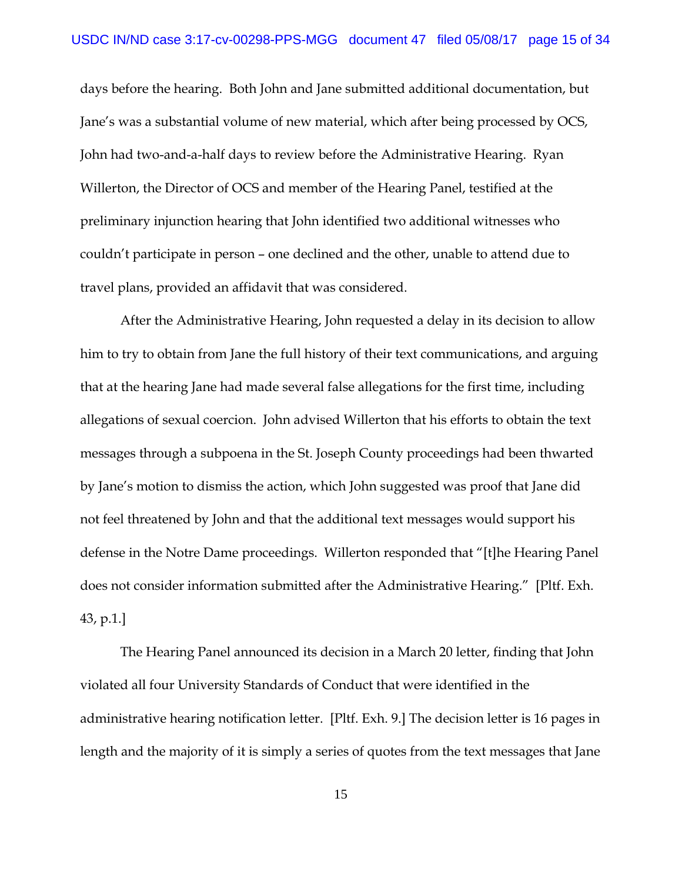days before the hearing. Both John and Jane submitted additional documentation, but Jane's was a substantial volume of new material, which after being processed by OCS, John had two-and-a-half days to review before the Administrative Hearing. Ryan Willerton, the Director of OCS and member of the Hearing Panel, testified at the preliminary injunction hearing that John identified two additional witnesses who couldn't participate in person – one declined and the other, unable to attend due to travel plans, provided an affidavit that was considered.

After the Administrative Hearing, John requested a delay in its decision to allow him to try to obtain from Jane the full history of their text communications, and arguing that at the hearing Jane had made several false allegations for the first time, including allegations of sexual coercion. John advised Willerton that his efforts to obtain the text messages through a subpoena in the St. Joseph County proceedings had been thwarted by Jane's motion to dismiss the action, which John suggested was proof that Jane did not feel threatened by John and that the additional text messages would support his defense in the Notre Dame proceedings. Willerton responded that "[t]he Hearing Panel does not consider information submitted after the Administrative Hearing." [Pltf. Exh. 43, p.1.]

The Hearing Panel announced its decision in a March 20 letter, finding that John violated all four University Standards of Conduct that were identified in the administrative hearing notification letter. [Pltf. Exh. 9.] The decision letter is 16 pages in length and the majority of it is simply a series of quotes from the text messages that Jane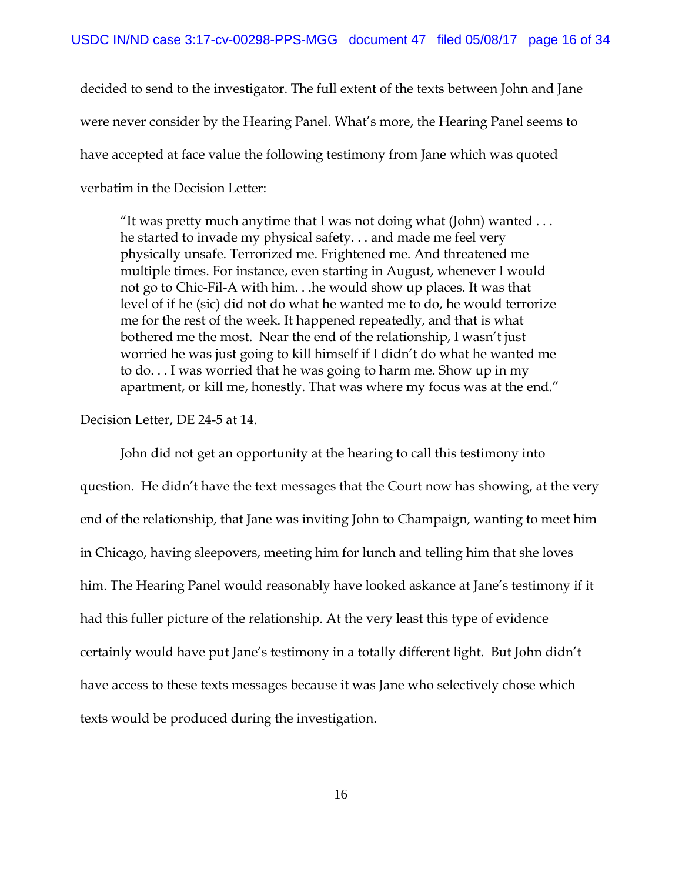decided to send to the investigator. The full extent of the texts between John and Jane were never consider by the Hearing Panel. What's more, the Hearing Panel seems to have accepted at face value the following testimony from Jane which was quoted verbatim in the Decision Letter:

"It was pretty much anytime that I was not doing what (John) wanted  $\dots$ he started to invade my physical safety. . . and made me feel very physically unsafe. Terrorized me. Frightened me. And threatened me multiple times. For instance, even starting in August, whenever I would not go to Chic-Fil-A with him. . .he would show up places. It was that level of if he (sic) did not do what he wanted me to do, he would terrorize me for the rest of the week. It happened repeatedly, and that is what bothered me the most. Near the end of the relationship, I wasn't just worried he was just going to kill himself if I didn't do what he wanted me to do. . . I was worried that he was going to harm me. Show up in my apartment, or kill me, honestly. That was where my focus was at the end."

Decision Letter, DE 24-5 at 14.

John did not get an opportunity at the hearing to call this testimony into question. He didn't have the text messages that the Court now has showing, at the very end of the relationship, that Jane was inviting John to Champaign, wanting to meet him in Chicago, having sleepovers, meeting him for lunch and telling him that she loves him. The Hearing Panel would reasonably have looked askance at Jane's testimony if it had this fuller picture of the relationship. At the very least this type of evidence certainly would have put Jane's testimony in a totally different light. But John didn't have access to these texts messages because it was Jane who selectively chose which texts would be produced during the investigation.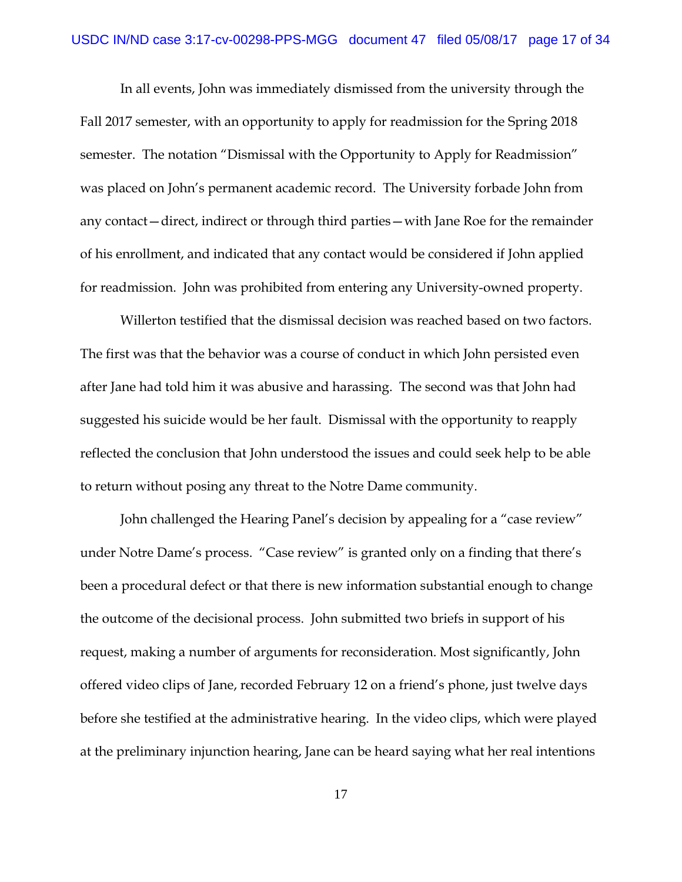In all events, John was immediately dismissed from the university through the Fall 2017 semester, with an opportunity to apply for readmission for the Spring 2018 semester. The notation "Dismissal with the Opportunity to Apply for Readmission" was placed on John's permanent academic record. The University forbade John from any contact—direct, indirect or through third parties—with Jane Roe for the remainder of his enrollment, and indicated that any contact would be considered if John applied for readmission. John was prohibited from entering any University-owned property.

 Willerton testified that the dismissal decision was reached based on two factors. The first was that the behavior was a course of conduct in which John persisted even after Jane had told him it was abusive and harassing. The second was that John had suggested his suicide would be her fault. Dismissal with the opportunity to reapply reflected the conclusion that John understood the issues and could seek help to be able to return without posing any threat to the Notre Dame community.

John challenged the Hearing Panel's decision by appealing for a "case review" under Notre Dame's process. "Case review" is granted only on a finding that there's been a procedural defect or that there is new information substantial enough to change the outcome of the decisional process. John submitted two briefs in support of his request, making a number of arguments for reconsideration. Most significantly, John offered video clips of Jane, recorded February 12 on a friend's phone, just twelve days before she testified at the administrative hearing. In the video clips, which were played at the preliminary injunction hearing, Jane can be heard saying what her real intentions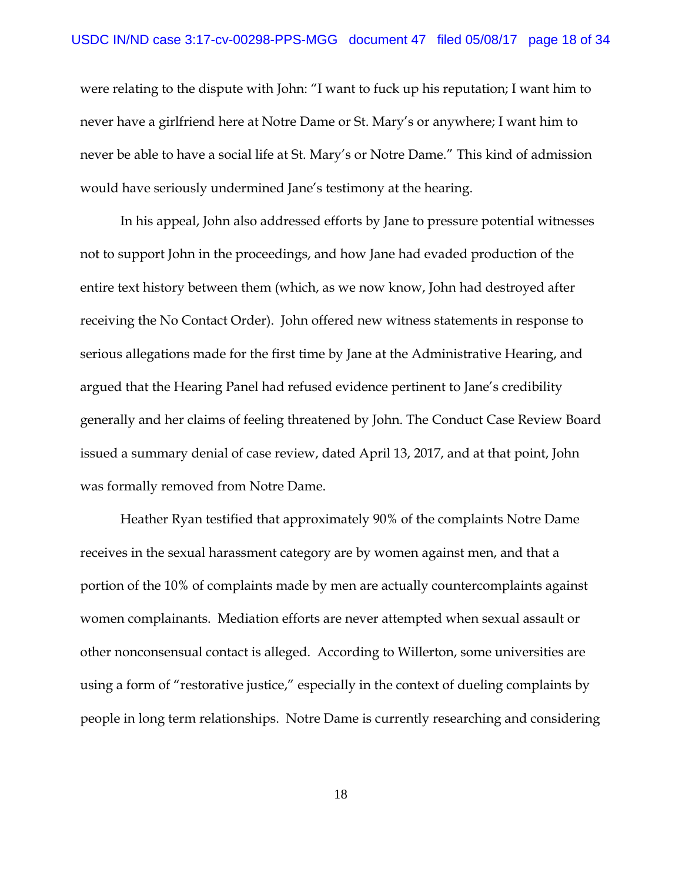were relating to the dispute with John: "I want to fuck up his reputation; I want him to never have a girlfriend here at Notre Dame or St. Mary's or anywhere; I want him to never be able to have a social life at St. Mary's or Notre Dame." This kind of admission would have seriously undermined Jane's testimony at the hearing.

In his appeal, John also addressed efforts by Jane to pressure potential witnesses not to support John in the proceedings, and how Jane had evaded production of the entire text history between them (which, as we now know, John had destroyed after receiving the No Contact Order). John offered new witness statements in response to serious allegations made for the first time by Jane at the Administrative Hearing, and argued that the Hearing Panel had refused evidence pertinent to Jane's credibility generally and her claims of feeling threatened by John. The Conduct Case Review Board issued a summary denial of case review, dated April 13, 2017, and at that point, John was formally removed from Notre Dame.

Heather Ryan testified that approximately 90% of the complaints Notre Dame receives in the sexual harassment category are by women against men, and that a portion of the 10% of complaints made by men are actually countercomplaints against women complainants. Mediation efforts are never attempted when sexual assault or other nonconsensual contact is alleged. According to Willerton, some universities are using a form of "restorative justice," especially in the context of dueling complaints by people in long term relationships. Notre Dame is currently researching and considering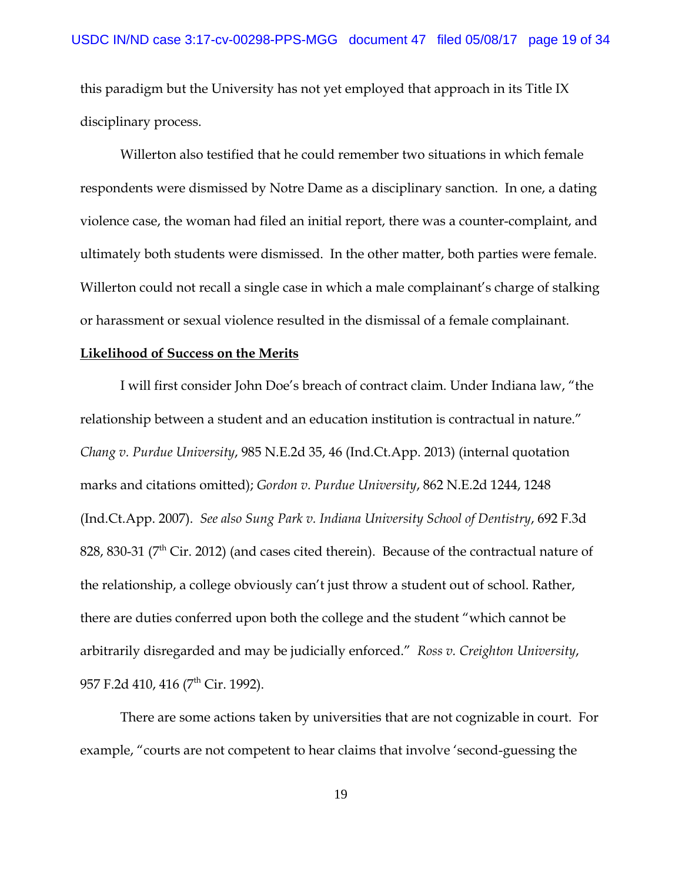this paradigm but the University has not yet employed that approach in its Title IX disciplinary process.

Willerton also testified that he could remember two situations in which female respondents were dismissed by Notre Dame as a disciplinary sanction. In one, a dating violence case, the woman had filed an initial report, there was a counter-complaint, and ultimately both students were dismissed. In the other matter, both parties were female. Willerton could not recall a single case in which a male complainant's charge of stalking or harassment or sexual violence resulted in the dismissal of a female complainant.

#### **Likelihood of Success on the Merits**

I will first consider John Doe's breach of contract claim. Under Indiana law, "the relationship between a student and an education institution is contractual in nature." *Chang v. Purdue University*, 985 N.E.2d 35, 46 (Ind.Ct.App. 2013) (internal quotation marks and citations omitted); *Gordon v. Purdue University*, 862 N.E.2d 1244, 1248 (Ind.Ct.App. 2007). *See also Sung Park v. Indiana University School of Dentistry*, 692 F.3d 828, 830-31 ( $7<sup>th</sup>$  Cir. 2012) (and cases cited therein). Because of the contractual nature of the relationship, a college obviously can't just throw a student out of school. Rather, there are duties conferred upon both the college and the student "which cannot be arbitrarily disregarded and may be judicially enforced." *Ross v. Creighton University*, 957 F.2d 410, 416 (7<sup>th</sup> Cir. 1992).

There are some actions taken by universities that are not cognizable in court. For example, "courts are not competent to hear claims that involve 'second-guessing the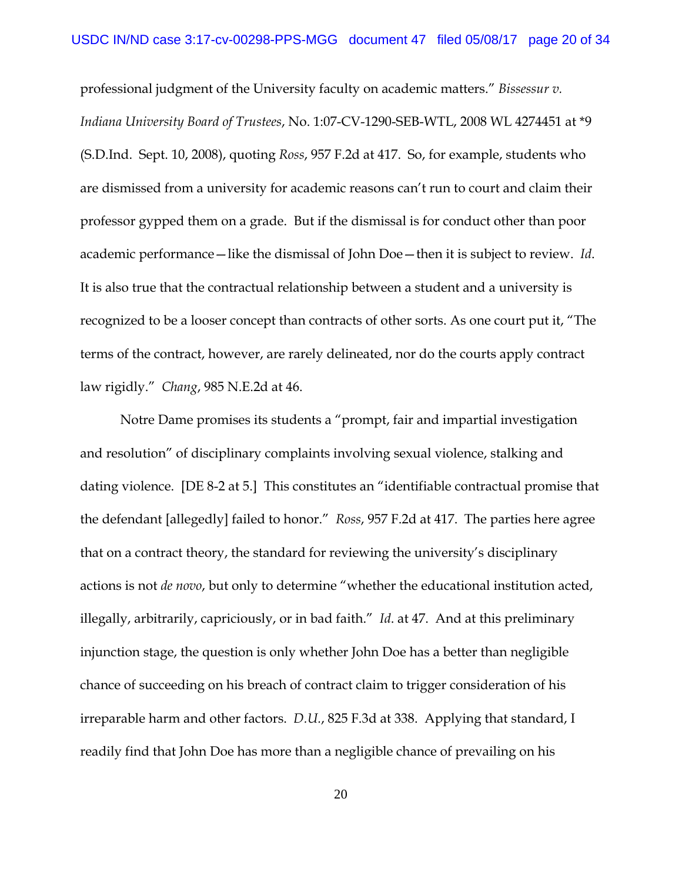professional judgment of the University faculty on academic matters." *Bissessur v. Indiana University Board of Trustees*, No. 1:07-CV-1290-SEB-WTL, 2008 WL 4274451 at \*9 (S.D.Ind. Sept. 10, 2008), quoting *Ross*, 957 F.2d at 417. So, for example, students who are dismissed from a university for academic reasons can't run to court and claim their professor gypped them on a grade. But if the dismissal is for conduct other than poor academic performance—like the dismissal of John Doe—then it is subject to review. *Id*. It is also true that the contractual relationship between a student and a university is recognized to be a looser concept than contracts of other sorts. As one court put it, "The terms of the contract, however, are rarely delineated, nor do the courts apply contract law rigidly." *Chang*, 985 N.E.2d at 46.

Notre Dame promises its students a "prompt, fair and impartial investigation and resolution" of disciplinary complaints involving sexual violence, stalking and dating violence. [DE 8-2 at 5.] This constitutes an "identifiable contractual promise that the defendant [allegedly] failed to honor." *Ross*, 957 F.2d at 417. The parties here agree that on a contract theory, the standard for reviewing the university's disciplinary actions is not *de novo*, but only to determine "whether the educational institution acted, illegally, arbitrarily, capriciously, or in bad faith." *Id*. at 47. And at this preliminary injunction stage, the question is only whether John Doe has a better than negligible chance of succeeding on his breach of contract claim to trigger consideration of his irreparable harm and other factors. *D.U.*, 825 F.3d at 338. Applying that standard, I readily find that John Doe has more than a negligible chance of prevailing on his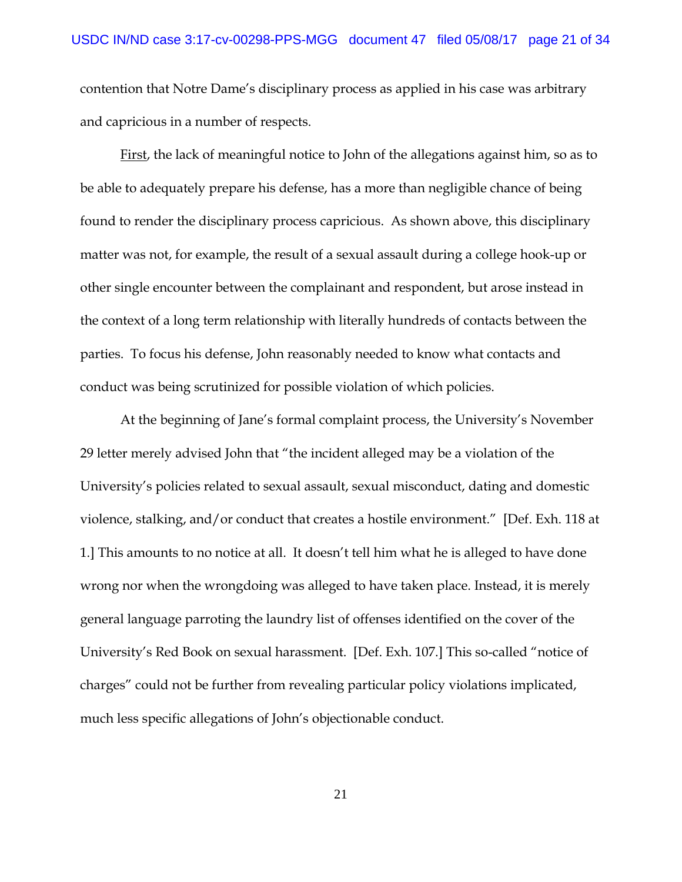contention that Notre Dame's disciplinary process as applied in his case was arbitrary and capricious in a number of respects.

First, the lack of meaningful notice to John of the allegations against him, so as to be able to adequately prepare his defense, has a more than negligible chance of being found to render the disciplinary process capricious. As shown above, this disciplinary matter was not, for example, the result of a sexual assault during a college hook-up or other single encounter between the complainant and respondent, but arose instead in the context of a long term relationship with literally hundreds of contacts between the parties. To focus his defense, John reasonably needed to know what contacts and conduct was being scrutinized for possible violation of which policies.

At the beginning of Jane's formal complaint process, the University's November 29 letter merely advised John that "the incident alleged may be a violation of the University's policies related to sexual assault, sexual misconduct, dating and domestic violence, stalking, and/or conduct that creates a hostile environment." [Def. Exh. 118 at 1.] This amounts to no notice at all. It doesn't tell him what he is alleged to have done wrong nor when the wrongdoing was alleged to have taken place. Instead, it is merely general language parroting the laundry list of offenses identified on the cover of the University's Red Book on sexual harassment. [Def. Exh. 107.] This so-called "notice of charges" could not be further from revealing particular policy violations implicated, much less specific allegations of John's objectionable conduct.

21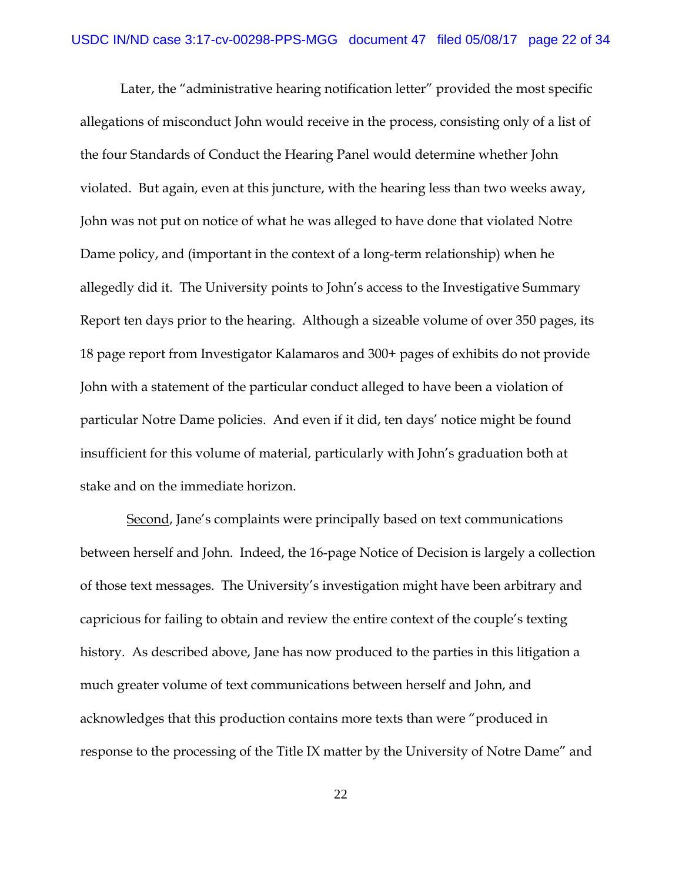Later, the "administrative hearing notification letter" provided the most specific allegations of misconduct John would receive in the process, consisting only of a list of the four Standards of Conduct the Hearing Panel would determine whether John violated. But again, even at this juncture, with the hearing less than two weeks away, John was not put on notice of what he was alleged to have done that violated Notre Dame policy, and (important in the context of a long-term relationship) when he allegedly did it. The University points to John's access to the Investigative Summary Report ten days prior to the hearing. Although a sizeable volume of over 350 pages, its 18 page report from Investigator Kalamaros and 300+ pages of exhibits do not provide John with a statement of the particular conduct alleged to have been a violation of particular Notre Dame policies. And even if it did, ten days' notice might be found insufficient for this volume of material, particularly with John's graduation both at stake and on the immediate horizon.

 Second, Jane's complaints were principally based on text communications between herself and John. Indeed, the 16-page Notice of Decision is largely a collection of those text messages. The University's investigation might have been arbitrary and capricious for failing to obtain and review the entire context of the couple's texting history. As described above, Jane has now produced to the parties in this litigation a much greater volume of text communications between herself and John, and acknowledges that this production contains more texts than were "produced in response to the processing of the Title IX matter by the University of Notre Dame" and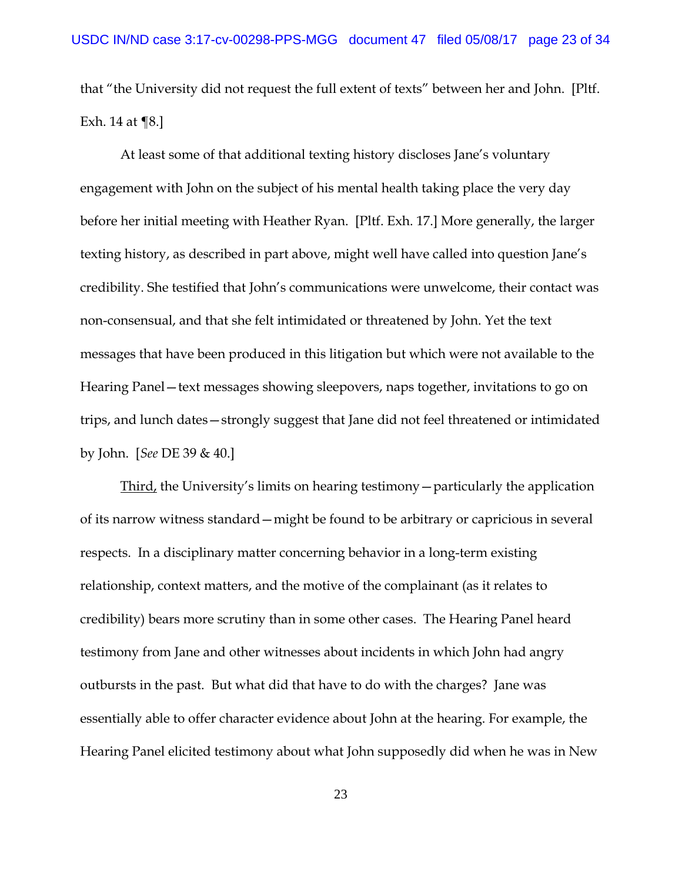that "the University did not request the full extent of texts" between her and John. [Pltf. Exh. 14 at ¶8.]

At least some of that additional texting history discloses Jane's voluntary engagement with John on the subject of his mental health taking place the very day before her initial meeting with Heather Ryan. [Pltf. Exh. 17.] More generally, the larger texting history, as described in part above, might well have called into question Jane's credibility. She testified that John's communications were unwelcome, their contact was non-consensual, and that she felt intimidated or threatened by John. Yet the text messages that have been produced in this litigation but which were not available to the Hearing Panel—text messages showing sleepovers, naps together, invitations to go on trips, and lunch dates—strongly suggest that Jane did not feel threatened or intimidated by John. [*See* DE 39 & 40.]

Third, the University's limits on hearing testimony—particularly the application of its narrow witness standard—might be found to be arbitrary or capricious in several respects. In a disciplinary matter concerning behavior in a long-term existing relationship, context matters, and the motive of the complainant (as it relates to credibility) bears more scrutiny than in some other cases. The Hearing Panel heard testimony from Jane and other witnesses about incidents in which John had angry outbursts in the past. But what did that have to do with the charges? Jane was essentially able to offer character evidence about John at the hearing. For example, the Hearing Panel elicited testimony about what John supposedly did when he was in New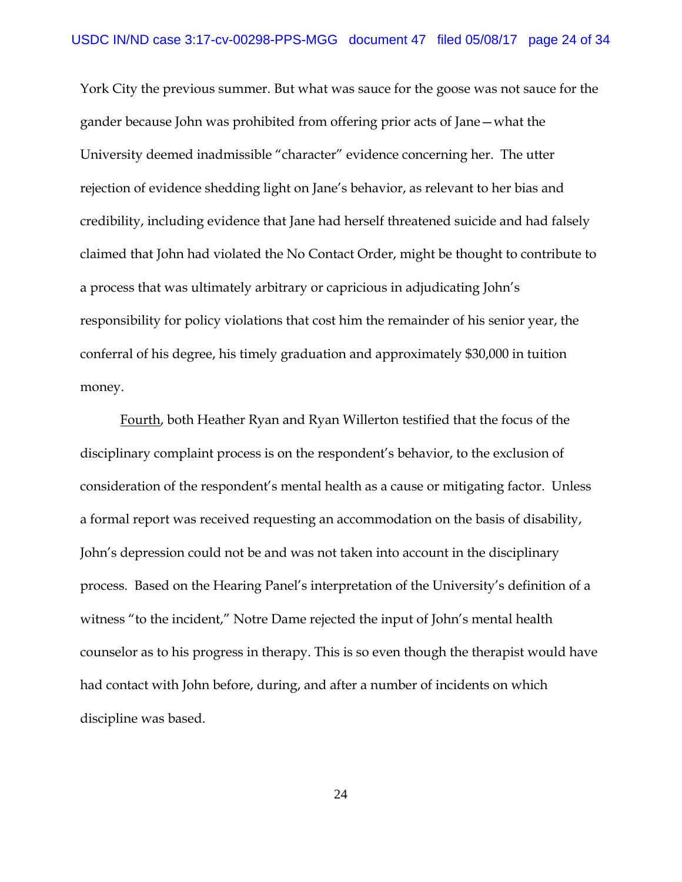York City the previous summer. But what was sauce for the goose was not sauce for the gander because John was prohibited from offering prior acts of Jane—what the University deemed inadmissible "character" evidence concerning her. The utter rejection of evidence shedding light on Jane's behavior, as relevant to her bias and credibility, including evidence that Jane had herself threatened suicide and had falsely claimed that John had violated the No Contact Order, might be thought to contribute to a process that was ultimately arbitrary or capricious in adjudicating John's responsibility for policy violations that cost him the remainder of his senior year, the conferral of his degree, his timely graduation and approximately \$30,000 in tuition money.

Fourth, both Heather Ryan and Ryan Willerton testified that the focus of the disciplinary complaint process is on the respondent's behavior, to the exclusion of consideration of the respondent's mental health as a cause or mitigating factor. Unless a formal report was received requesting an accommodation on the basis of disability, John's depression could not be and was not taken into account in the disciplinary process. Based on the Hearing Panel's interpretation of the University's definition of a witness "to the incident," Notre Dame rejected the input of John's mental health counselor as to his progress in therapy. This is so even though the therapist would have had contact with John before, during, and after a number of incidents on which discipline was based.

24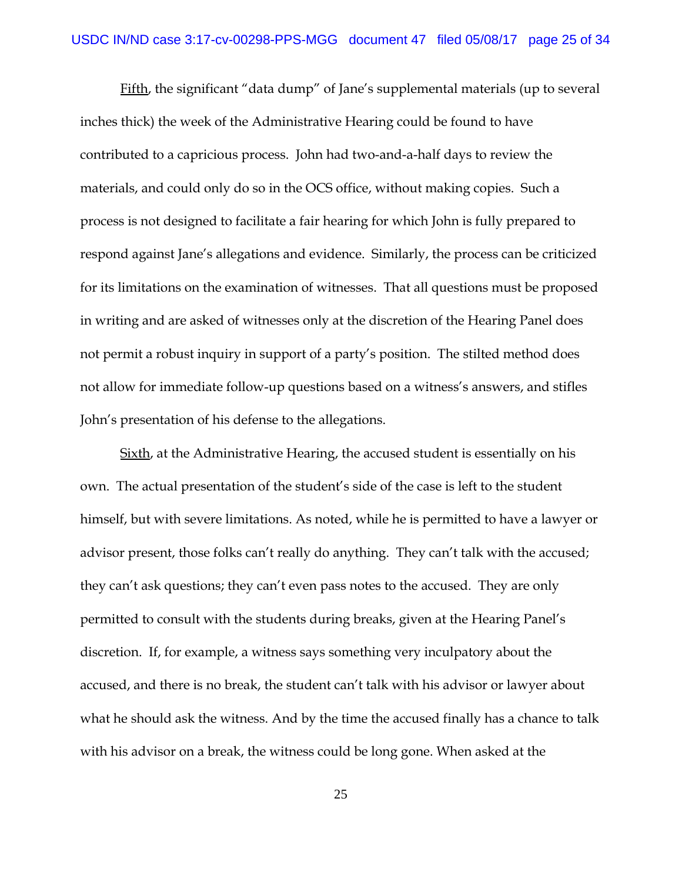Fifth, the significant "data dump" of Jane's supplemental materials (up to several inches thick) the week of the Administrative Hearing could be found to have contributed to a capricious process. John had two-and-a-half days to review the materials, and could only do so in the OCS office, without making copies. Such a process is not designed to facilitate a fair hearing for which John is fully prepared to respond against Jane's allegations and evidence. Similarly, the process can be criticized for its limitations on the examination of witnesses. That all questions must be proposed in writing and are asked of witnesses only at the discretion of the Hearing Panel does not permit a robust inquiry in support of a party's position. The stilted method does not allow for immediate follow-up questions based on a witness's answers, and stifles John's presentation of his defense to the allegations.

Sixth, at the Administrative Hearing, the accused student is essentially on his own. The actual presentation of the student's side of the case is left to the student himself, but with severe limitations. As noted, while he is permitted to have a lawyer or advisor present, those folks can't really do anything. They can't talk with the accused; they can't ask questions; they can't even pass notes to the accused. They are only permitted to consult with the students during breaks, given at the Hearing Panel's discretion. If, for example, a witness says something very inculpatory about the accused, and there is no break, the student can't talk with his advisor or lawyer about what he should ask the witness. And by the time the accused finally has a chance to talk with his advisor on a break, the witness could be long gone. When asked at the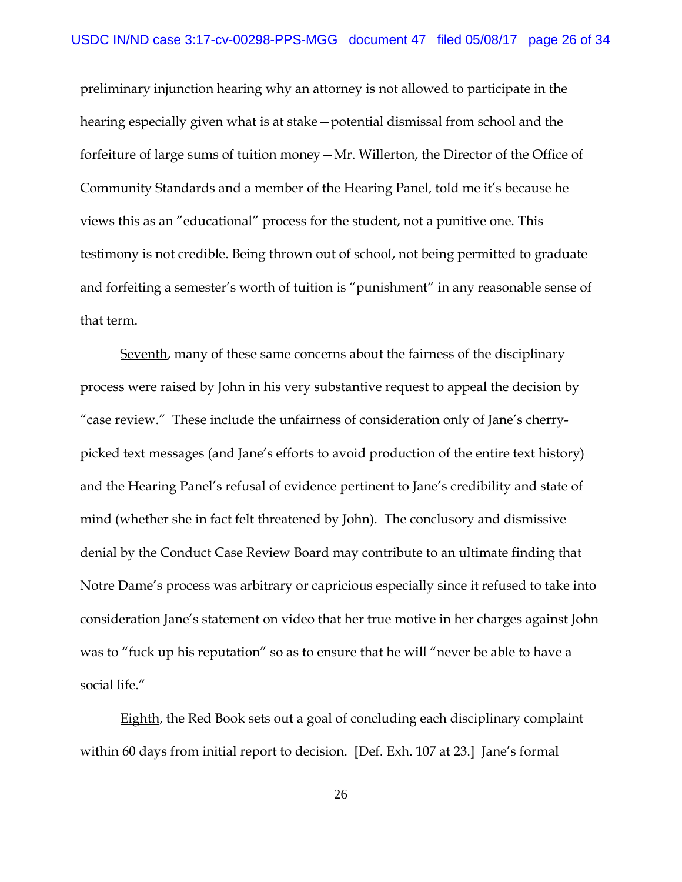preliminary injunction hearing why an attorney is not allowed to participate in the hearing especially given what is at stake—potential dismissal from school and the forfeiture of large sums of tuition money—Mr. Willerton, the Director of the Office of Community Standards and a member of the Hearing Panel, told me it's because he views this as an "educational" process for the student, not a punitive one. This testimony is not credible. Being thrown out of school, not being permitted to graduate and forfeiting a semester's worth of tuition is "punishment" in any reasonable sense of that term.

Seventh, many of these same concerns about the fairness of the disciplinary process were raised by John in his very substantive request to appeal the decision by "case review." These include the unfairness of consideration only of Jane's cherrypicked text messages (and Jane's efforts to avoid production of the entire text history) and the Hearing Panel's refusal of evidence pertinent to Jane's credibility and state of mind (whether she in fact felt threatened by John). The conclusory and dismissive denial by the Conduct Case Review Board may contribute to an ultimate finding that Notre Dame's process was arbitrary or capricious especially since it refused to take into consideration Jane's statement on video that her true motive in her charges against John was to "fuck up his reputation" so as to ensure that he will "never be able to have a social life."

Eighth, the Red Book sets out a goal of concluding each disciplinary complaint within 60 days from initial report to decision. [Def. Exh. 107 at 23.] Jane's formal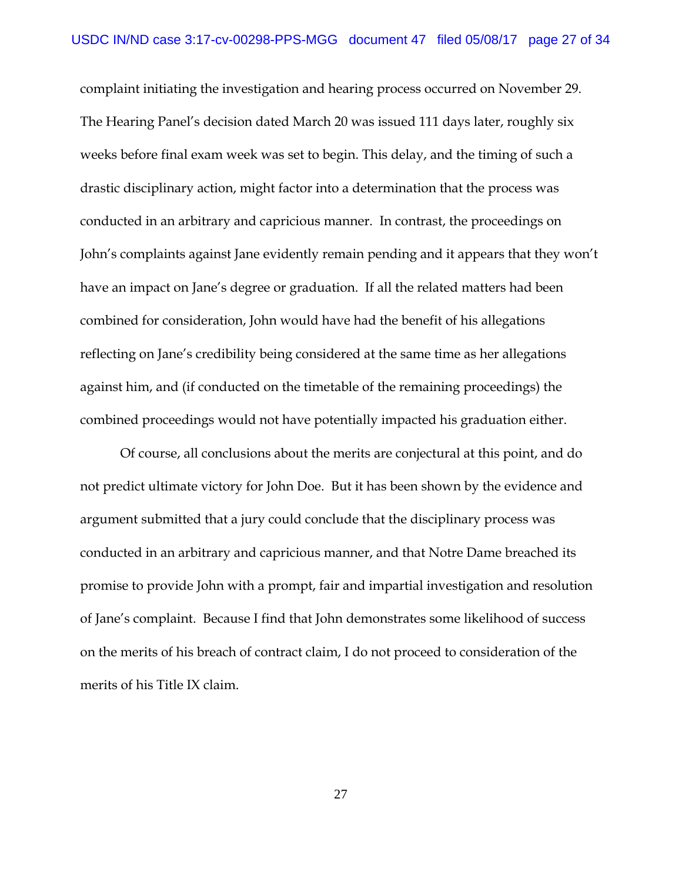complaint initiating the investigation and hearing process occurred on November 29. The Hearing Panel's decision dated March 20 was issued 111 days later, roughly six weeks before final exam week was set to begin. This delay, and the timing of such a drastic disciplinary action, might factor into a determination that the process was conducted in an arbitrary and capricious manner. In contrast, the proceedings on John's complaints against Jane evidently remain pending and it appears that they won't have an impact on Jane's degree or graduation. If all the related matters had been combined for consideration, John would have had the benefit of his allegations reflecting on Jane's credibility being considered at the same time as her allegations against him, and (if conducted on the timetable of the remaining proceedings) the combined proceedings would not have potentially impacted his graduation either.

Of course, all conclusions about the merits are conjectural at this point, and do not predict ultimate victory for John Doe. But it has been shown by the evidence and argument submitted that a jury could conclude that the disciplinary process was conducted in an arbitrary and capricious manner, and that Notre Dame breached its promise to provide John with a prompt, fair and impartial investigation and resolution of Jane's complaint. Because I find that John demonstrates some likelihood of success on the merits of his breach of contract claim, I do not proceed to consideration of the merits of his Title IX claim.

27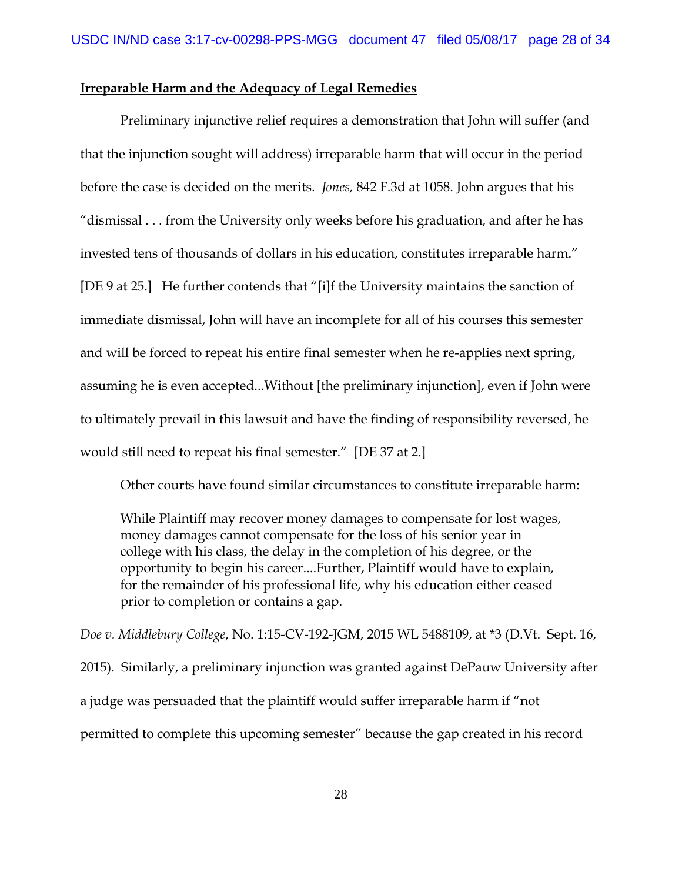# **Irreparable Harm and the Adequacy of Legal Remedies**

Preliminary injunctive relief requires a demonstration that John will suffer (and that the injunction sought will address) irreparable harm that will occur in the period before the case is decided on the merits. *Jones,* 842 F.3d at 1058. John argues that his "dismissal . . . from the University only weeks before his graduation, and after he has invested tens of thousands of dollars in his education, constitutes irreparable harm." [DE 9 at 25.] He further contends that "[i]f the University maintains the sanction of immediate dismissal, John will have an incomplete for all of his courses this semester and will be forced to repeat his entire final semester when he re-applies next spring, assuming he is even accepted...Without [the preliminary injunction], even if John were to ultimately prevail in this lawsuit and have the finding of responsibility reversed, he would still need to repeat his final semester." [DE 37 at 2.]

Other courts have found similar circumstances to constitute irreparable harm:

While Plaintiff may recover money damages to compensate for lost wages, money damages cannot compensate for the loss of his senior year in college with his class, the delay in the completion of his degree, or the opportunity to begin his career....Further, Plaintiff would have to explain, for the remainder of his professional life, why his education either ceased prior to completion or contains a gap.

*Doe v. Middlebury College*, No. 1:15-CV-192-JGM, 2015 WL 5488109, at \*3 (D.Vt. Sept. 16, 2015). Similarly, a preliminary injunction was granted against DePauw University after a judge was persuaded that the plaintiff would suffer irreparable harm if "not permitted to complete this upcoming semester" because the gap created in his record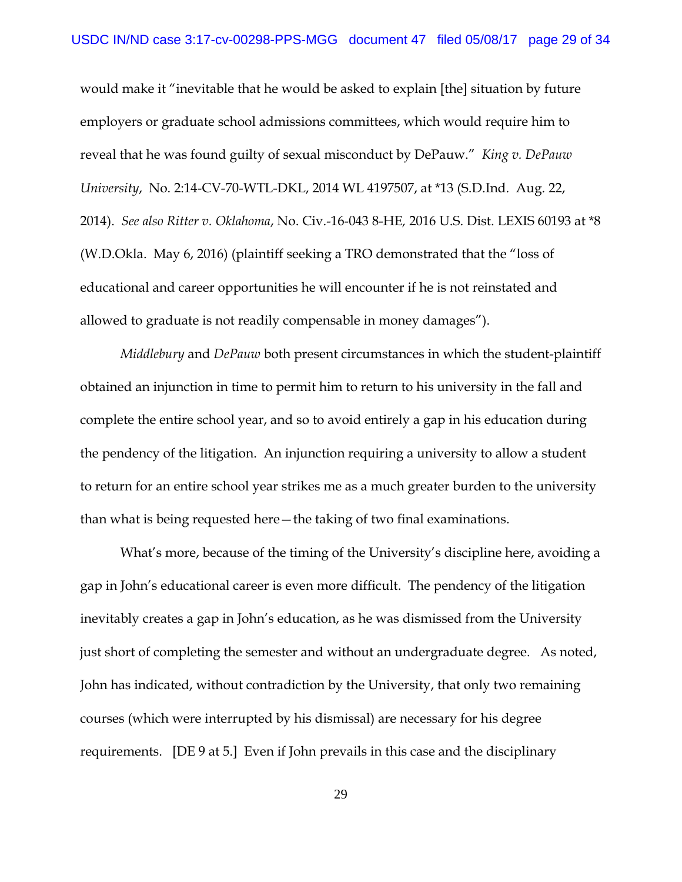would make it "inevitable that he would be asked to explain [the] situation by future employers or graduate school admissions committees, which would require him to reveal that he was found guilty of sexual misconduct by DePauw." *King v. DePauw University*, No. 2:14-CV-70-WTL-DKL, 2014 WL 4197507, at \*13 (S.D.Ind. Aug. 22, 2014). *See also Ritter v. Oklahoma*, No. Civ.-16-043 8-HE*,* 2016 U.S. Dist. LEXIS 60193 at \*8 (W.D.Okla. May 6, 2016) (plaintiff seeking a TRO demonstrated that the "loss of educational and career opportunities he will encounter if he is not reinstated and allowed to graduate is not readily compensable in money damages").

*Middlebury* and *DePauw* both present circumstances in which the student-plaintiff obtained an injunction in time to permit him to return to his university in the fall and complete the entire school year, and so to avoid entirely a gap in his education during the pendency of the litigation. An injunction requiring a university to allow a student to return for an entire school year strikes me as a much greater burden to the university than what is being requested here—the taking of two final examinations.

What's more, because of the timing of the University's discipline here, avoiding a gap in John's educational career is even more difficult. The pendency of the litigation inevitably creates a gap in John's education, as he was dismissed from the University just short of completing the semester and without an undergraduate degree. As noted, John has indicated, without contradiction by the University, that only two remaining courses (which were interrupted by his dismissal) are necessary for his degree requirements. [DE 9 at 5.] Even if John prevails in this case and the disciplinary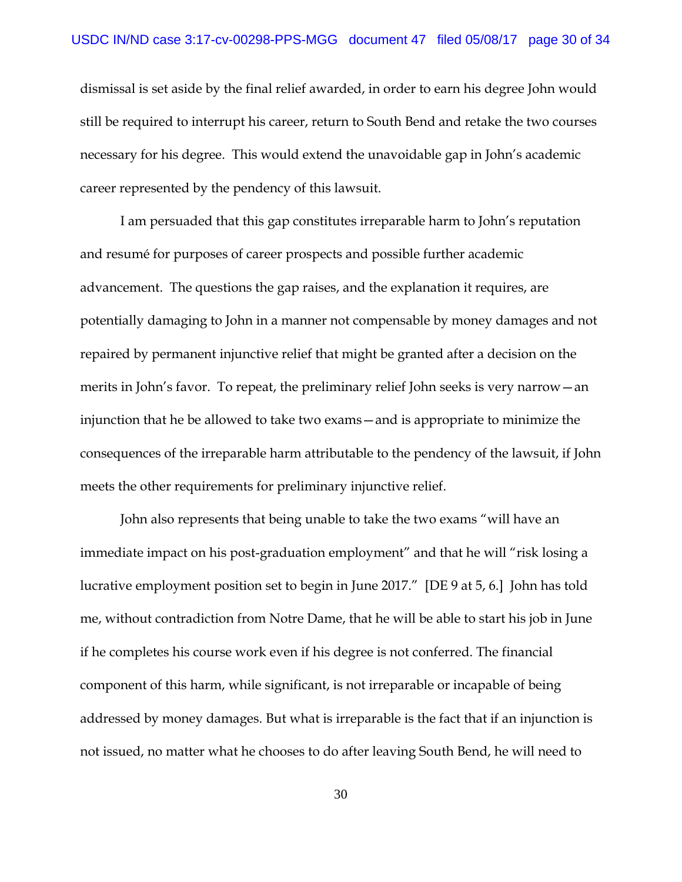dismissal is set aside by the final relief awarded, in order to earn his degree John would still be required to interrupt his career, return to South Bend and retake the two courses necessary for his degree. This would extend the unavoidable gap in John's academic career represented by the pendency of this lawsuit.

I am persuaded that this gap constitutes irreparable harm to John's reputation and resumé for purposes of career prospects and possible further academic advancement. The questions the gap raises, and the explanation it requires, are potentially damaging to John in a manner not compensable by money damages and not repaired by permanent injunctive relief that might be granted after a decision on the merits in John's favor. To repeat, the preliminary relief John seeks is very narrow—an injunction that he be allowed to take two exams—and is appropriate to minimize the consequences of the irreparable harm attributable to the pendency of the lawsuit, if John meets the other requirements for preliminary injunctive relief.

John also represents that being unable to take the two exams "will have an immediate impact on his post-graduation employment" and that he will "risk losing a lucrative employment position set to begin in June 2017." [DE 9 at 5, 6.] John has told me, without contradiction from Notre Dame, that he will be able to start his job in June if he completes his course work even if his degree is not conferred. The financial component of this harm, while significant, is not irreparable or incapable of being addressed by money damages. But what is irreparable is the fact that if an injunction is not issued, no matter what he chooses to do after leaving South Bend, he will need to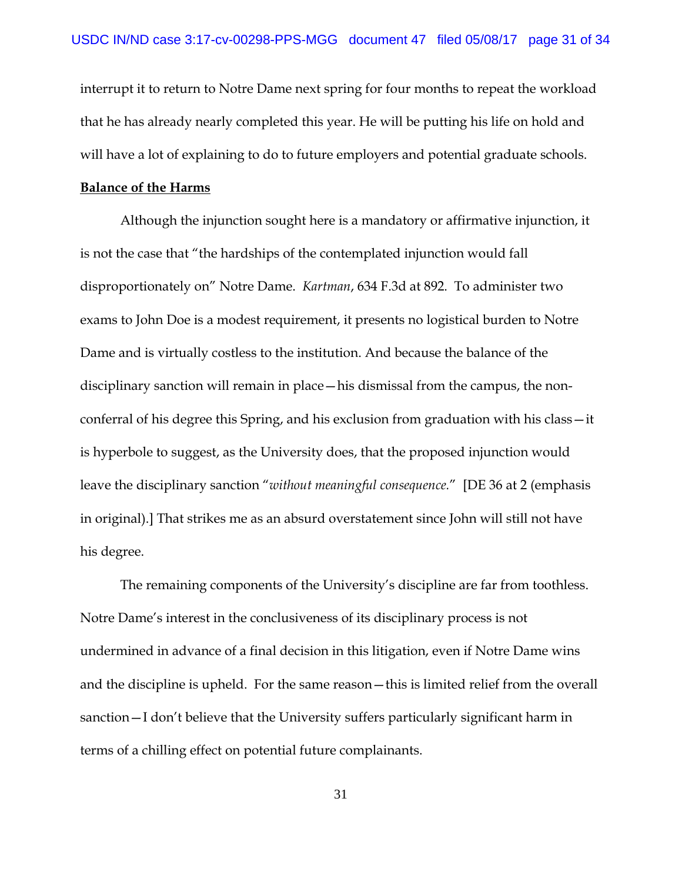interrupt it to return to Notre Dame next spring for four months to repeat the workload that he has already nearly completed this year. He will be putting his life on hold and will have a lot of explaining to do to future employers and potential graduate schools.

#### **Balance of the Harms**

Although the injunction sought here is a mandatory or affirmative injunction, it is not the case that "the hardships of the contemplated injunction would fall disproportionately on" Notre Dame. *Kartman*, 634 F.3d at 892. To administer two exams to John Doe is a modest requirement, it presents no logistical burden to Notre Dame and is virtually costless to the institution. And because the balance of the disciplinary sanction will remain in place—his dismissal from the campus, the nonconferral of his degree this Spring, and his exclusion from graduation with his class—it is hyperbole to suggest, as the University does, that the proposed injunction would leave the disciplinary sanction "*without meaningful consequence.*" [DE 36 at 2 (emphasis in original).] That strikes me as an absurd overstatement since John will still not have his degree.

The remaining components of the University's discipline are far from toothless. Notre Dame's interest in the conclusiveness of its disciplinary process is not undermined in advance of a final decision in this litigation, even if Notre Dame wins and the discipline is upheld. For the same reason—this is limited relief from the overall sanction—I don't believe that the University suffers particularly significant harm in terms of a chilling effect on potential future complainants.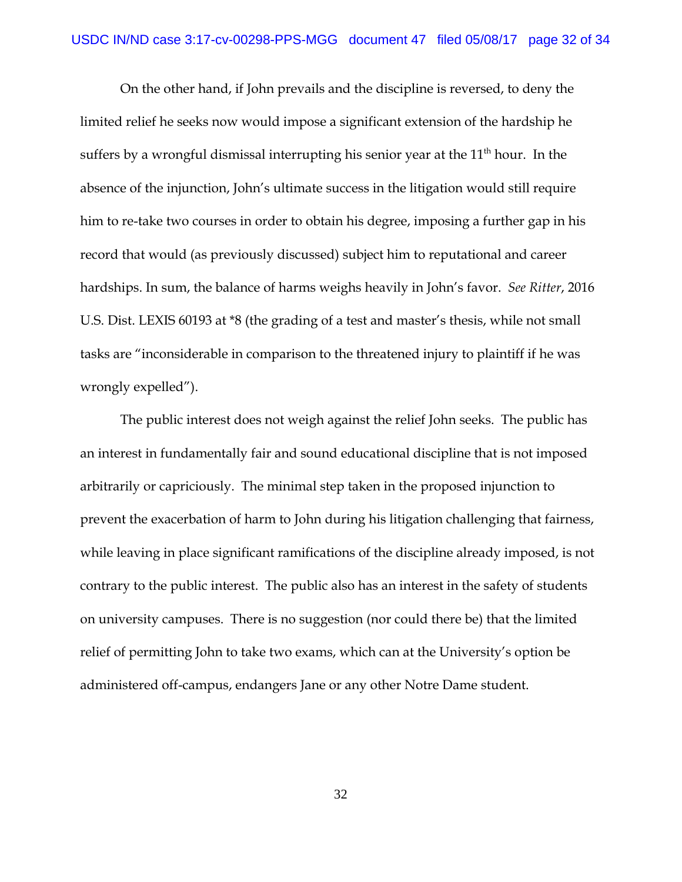On the other hand, if John prevails and the discipline is reversed, to deny the limited relief he seeks now would impose a significant extension of the hardship he suffers by a wrongful dismissal interrupting his senior year at the  $11<sup>th</sup>$  hour. In the absence of the injunction, John's ultimate success in the litigation would still require him to re-take two courses in order to obtain his degree, imposing a further gap in his record that would (as previously discussed) subject him to reputational and career hardships. In sum, the balance of harms weighs heavily in John's favor. *See Ritter*, 2016 U.S. Dist. LEXIS 60193 at \*8 (the grading of a test and master's thesis, while not small tasks are "inconsiderable in comparison to the threatened injury to plaintiff if he was wrongly expelled").

The public interest does not weigh against the relief John seeks. The public has an interest in fundamentally fair and sound educational discipline that is not imposed arbitrarily or capriciously. The minimal step taken in the proposed injunction to prevent the exacerbation of harm to John during his litigation challenging that fairness, while leaving in place significant ramifications of the discipline already imposed, is not contrary to the public interest. The public also has an interest in the safety of students on university campuses. There is no suggestion (nor could there be) that the limited relief of permitting John to take two exams, which can at the University's option be administered off-campus, endangers Jane or any other Notre Dame student.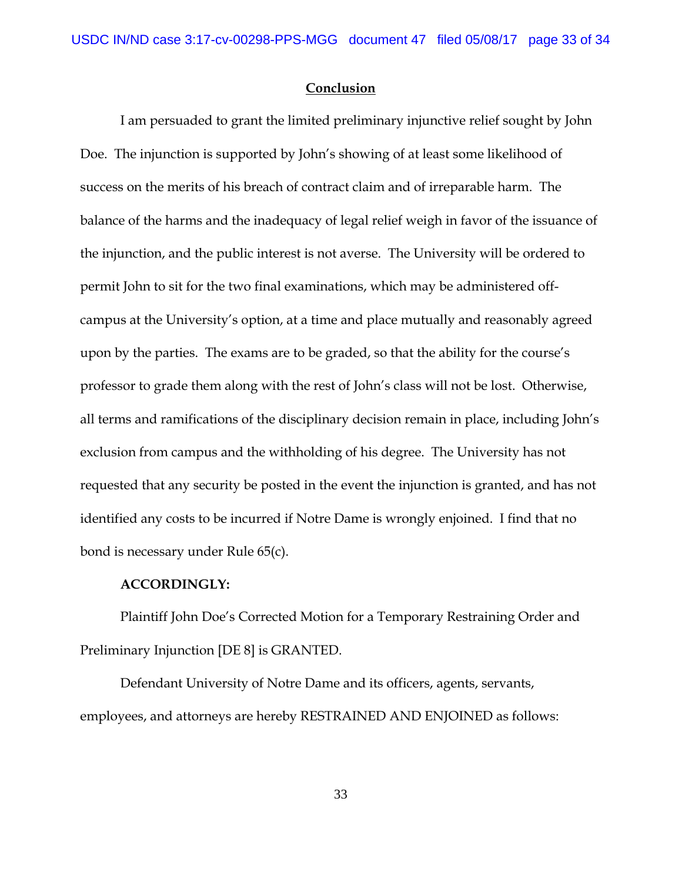## **Conclusion**

I am persuaded to grant the limited preliminary injunctive relief sought by John Doe. The injunction is supported by John's showing of at least some likelihood of success on the merits of his breach of contract claim and of irreparable harm. The balance of the harms and the inadequacy of legal relief weigh in favor of the issuance of the injunction, and the public interest is not averse. The University will be ordered to permit John to sit for the two final examinations, which may be administered offcampus at the University's option, at a time and place mutually and reasonably agreed upon by the parties. The exams are to be graded, so that the ability for the course's professor to grade them along with the rest of John's class will not be lost. Otherwise, all terms and ramifications of the disciplinary decision remain in place, including John's exclusion from campus and the withholding of his degree. The University has not requested that any security be posted in the event the injunction is granted, and has not identified any costs to be incurred if Notre Dame is wrongly enjoined. I find that no bond is necessary under Rule 65(c).

# **ACCORDINGLY:**

Plaintiff John Doe's Corrected Motion for a Temporary Restraining Order and Preliminary Injunction [DE 8] is GRANTED.

Defendant University of Notre Dame and its officers, agents, servants, employees, and attorneys are hereby RESTRAINED AND ENJOINED as follows: